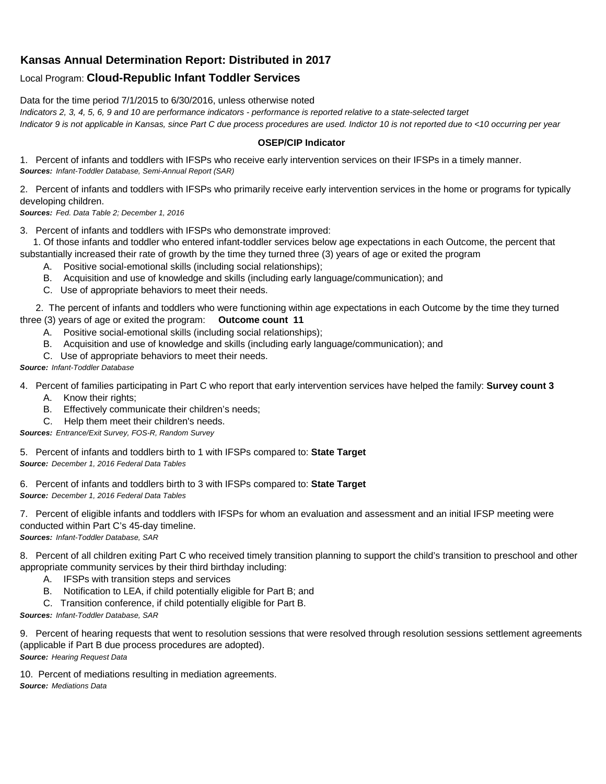## **Kansas Annual Determination Report: Distributed in 2017**

## Local Program: **Cloud-Republic Infant Toddler Services**

Data for the time period 7/1/2015 to 6/30/2016, unless otherwise noted

*Indicators 2, 3, 4, 5, 6, 9 and 10 are performance indicators - performance is reported relative to a state-selected target*

*Indicator 9 is not applicable in Kansas, since Part C due process procedures are used. Indictor 10 is not reported due to <10 occurring per year*

## **OSEP/CIP Indicator**

1. Percent of infants and toddlers with IFSPs who receive early intervention services on their IFSPs in a timely manner. *Sources: Infant-Toddler Database, Semi-Annual Report (SAR)* 

2. Percent of infants and toddlers with IFSPs who primarily receive early intervention services in the home or programs for typically developing children.

*Sources: Fed. Data Table 2; December 1, 2016*

3. Percent of infants and toddlers with IFSPs who demonstrate improved:

 1. Of those infants and toddler who entered infant-toddler services below age expectations in each Outcome, the percent that substantially increased their rate of growth by the time they turned three (3) years of age or exited the program

- A. Positive social-emotional skills (including social relationships);
- B. Acquisition and use of knowledge and skills (including early language/communication); and
- C. Use of appropriate behaviors to meet their needs.

 2. The percent of infants and toddlers who were functioning within age expectations in each Outcome by the time they turned three (3) years of age or exited the program: **Outcome count 11**

- A. Positive social-emotional skills (including social relationships);
- B. Acquisition and use of knowledge and skills (including early language/communication); and
- C. Use of appropriate behaviors to meet their needs.

## *Source: Infant-Toddler Database*

4. Percent of families participating in Part C who report that early intervention services have helped the family: **Survey count 3**

- A. Know their rights;
- B. Effectively communicate their children's needs;
- C. Help them meet their children's needs.

*Sources: Entrance/Exit Survey, FOS-R, Random Survey*

5. Percent of infants and toddlers birth to 1 with IFSPs compared to: **State Target** *Source: December 1, 2016 Federal Data Tables*

6. Percent of infants and toddlers birth to 3 with IFSPs compared to: **State Target** *Source: December 1, 2016 Federal Data Tables*

7. Percent of eligible infants and toddlers with IFSPs for whom an evaluation and assessment and an initial IFSP meeting were conducted within Part C's 45-day timeline.

*Sources: Infant-Toddler Database, SAR*

8. Percent of all children exiting Part C who received timely transition planning to support the child's transition to preschool and other appropriate community services by their third birthday including:

- A. IFSPs with transition steps and services
- B. Notification to LEA, if child potentially eligible for Part B; and
- C. Transition conference, if child potentially eligible for Part B.

*Sources: Infant-Toddler Database, SAR*

9. Percent of hearing requests that went to resolution sessions that were resolved through resolution sessions settlement agreements (applicable if Part B due process procedures are adopted). *Source: Hearing Request Data*

10. Percent of mediations resulting in mediation agreements. *Source: Mediations Data*